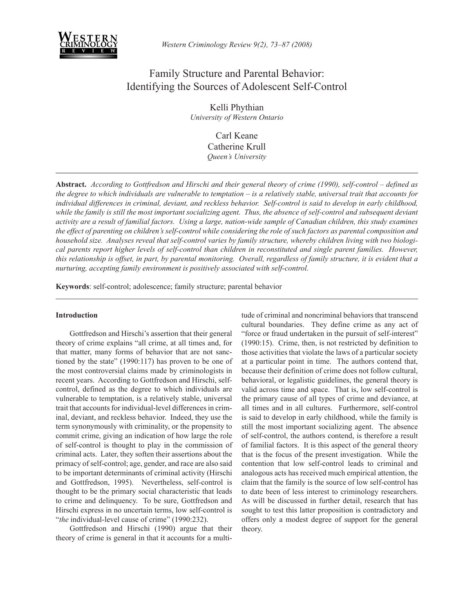

# Family Structure and Parental Behavior: Identifying the Sources of Adolescent Self-Control

Kelli Phythian *University of Western Ontario*

> Carl Keane Catherine Krull *Queen's University*

**Abstract.** *According to Gottfredson and Hirschi and their general theory of crime (1990), self-control – defined as the degree to which individuals are vulnerable to temptation – is a relatively stable, universal trait that accounts for individual differences in criminal, deviant, and reckless behavior. Self-control is said to develop in early childhood,*  while the family is still the most important socializing agent. Thus, the absence of self-control and subsequent deviant *activity are a result of familial factors. Using a large, nation-wide sample of Canadian children, this study examines the effect of parenting on children's self-control while considering the role of such factors as parental composition and household size. Analyses reveal that self-control varies by family structure, whereby children living with two biological parents report higher levels of self-control than children in reconstituted and single parent families. However, this relationship is offset, in part, by parental monitoring. Overall, regardless of family structure, it is evident that a nurturing, accepting family environment is positively associated with self-control.*

**Keywords**: self-control; adolescence; family structure; parental behavior

# **Introduction**

Gottfredson and Hirschi's assertion that their general theory of crime explains "all crime, at all times and, for that matter, many forms of behavior that are not sanctioned by the state" (1990:117) has proven to be one of the most controversial claims made by criminologists in recent years. According to Gottfredson and Hirschi, selfcontrol, defined as the degree to which individuals are vulnerable to temptation, is a relatively stable, universal trait that accounts for individual-level differences in criminal, deviant, and reckless behavior. Indeed, they use the term synonymously with criminality, or the propensity to commit crime, giving an indication of how large the role of self-control is thought to play in the commission of criminal acts. Later, they soften their assertions about the primacy of self-control; age, gender, and race are also said to be important determinants of criminal activity (Hirschi and Gottfredson, 1995). Nevertheless, self-control is thought to be the primary social characteristic that leads to crime and delinquency. To be sure, Gottfredson and Hirschi express in no uncertain terms, low self-control is "*the* individual-level cause of crime" (1990:232).

Gottfredson and Hirschi (1990) argue that their theory of crime is general in that it accounts for a multi-

tude of criminal and noncriminal behaviors that transcend cultural boundaries. They define crime as any act of "force or fraud undertaken in the pursuit of self-interest" (1990:15). Crime, then, is not restricted by definition to those activities that violate the laws of a particular society at a particular point in time. The authors contend that, because their definition of crime does not follow cultural, behavioral, or legalistic guidelines, the general theory is valid across time and space. That is, low self-control is the primary cause of all types of crime and deviance, at all times and in all cultures. Furthermore, self-control is said to develop in early childhood, while the family is still the most important socializing agent. The absence of self-control, the authors contend, is therefore a result of familial factors. It is this aspect of the general theory that is the focus of the present investigation. While the contention that low self-control leads to criminal and analogous acts has received much empirical attention, the claim that the family is the source of low self-control has to date been of less interest to criminology researchers. As will be discussed in further detail, research that has sought to test this latter proposition is contradictory and offers only a modest degree of support for the general theory.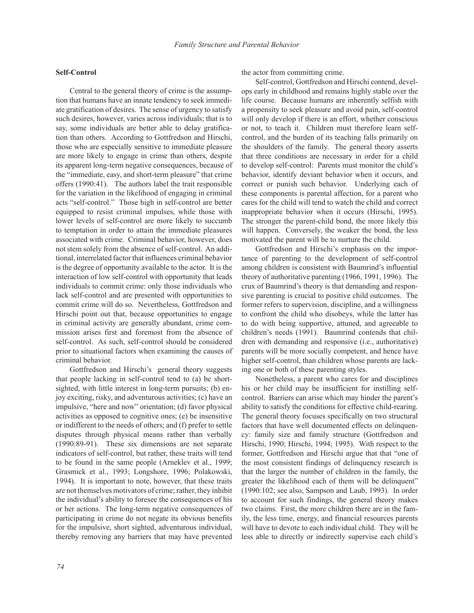# **Self-Control**

Central to the general theory of crime is the assumption that humans have an innate tendency to seek immediate gratification of desires. The sense of urgency to satisfy such desires, however, varies across individuals; that is to say, some individuals are better able to delay gratification than others. According to Gottfredson and Hirschi, those who are especially sensitive to immediate pleasure are more likely to engage in crime than others, despite its apparent long-term negative consequences, because of the "immediate, easy, and short-term pleasure" that crime offers (1990:41). The authors label the trait responsible for the variation in the likelihood of engaging in criminal acts "self-control." Those high in self-control are better equipped to resist criminal impulses, while those with lower levels of self-control are more likely to succumb to temptation in order to attain the immediate pleasures associated with crime. Criminal behavior, however, does not stem solely from the absence of self-control. An additional, interrelated factor that influences criminal behavior is the degree of opportunity available to the actor. It is the interaction of low self-control with opportunity that leads individuals to commit crime: only those individuals who lack self-control and are presented with opportunities to commit crime will do so. Nevertheless, Gottfredson and Hirschi point out that, because opportunities to engage in criminal activity are generally abundant, crime commission arises first and foremost from the absence of self-control. As such, self-control should be considered prior to situational factors when examining the causes of criminal behavior.

Gottfredson and Hirschi's general theory suggests that people lacking in self-control tend to (a) be shortsighted, with little interest in long-term pursuits; (b) enjoy exciting, risky, and adventurous activities; (c) have an impulsive, "here and now" orientation; (d) favor physical activities as opposed to cognitive ones; (e) be insensitive or indifferent to the needs of others; and (f) prefer to settle disputes through physical means rather than verbally (1990:89-91). These six dimensions are not separate indicators of self-control, but rather, these traits will tend to be found in the same people (Arneklev et al., 1999; Grasmick et al., 1993; Longshore, 1996; Polakowski, 1994). It is important to note, however, that these traits are not themselves motivators of crime; rather, they inhibit the individual's ability to foresee the consequences of his or her actions. The long-term negative consequences of participating in crime do not negate its obvious benefits for the impulsive, short sighted, adventurous individual, thereby removing any barriers that may have prevented the actor from committing crime.

Self-control, Gottfredson and Hirschi contend, develops early in childhood and remains highly stable over the life course. Because humans are inherently selfish with a propensity to seek pleasure and avoid pain, self-control will only develop if there is an effort, whether conscious or not, to teach it. Children must therefore learn selfcontrol, and the burden of its teaching falls primarily on the shoulders of the family. The general theory asserts that three conditions are necessary in order for a child to develop self-control: Parents must monitor the child's behavior, identify deviant behavior when it occurs, and correct or punish such behavior. Underlying each of these components is parental affection, for a parent who cares for the child will tend to watch the child and correct inappropriate behavior when it occurs (Hirschi, 1995). The stronger the parent-child bond, the more likely this will happen. Conversely, the weaker the bond, the less motivated the parent will be to nurture the child.

Gottfredson and Hirschi's emphasis on the importance of parenting to the development of self-control among children is consistent with Baumrind's influential theory of authoritative parenting (1966, 1991, 1996). The crux of Baumrind's theory is that demanding and responsive parenting is crucial to positive child outcomes. The former refers to supervision, discipline, and a willingness to confront the child who disobeys, while the latter has to do with being supportive, attuned, and agreeable to children's needs (1991). Baumrind contends that children with demanding and responsive (i.e., authoritative) parents will be more socially competent, and hence have higher self-control, than children whose parents are lacking one or both of these parenting styles.

Nonetheless, a parent who cares for and disciplines his or her child may be insufficient for instilling selfcontrol. Barriers can arise which may hinder the parent's ability to satisfy the conditions for effective child-rearing. The general theory focuses specifically on two structural factors that have well documented effects on delinquency: family size and family structure (Gottfredson and Hirschi, 1990; Hirschi, 1994; 1995). With respect to the former, Gottfredson and Hirschi argue that that "one of the most consistent findings of delinquency research is that the larger the number of children in the family, the greater the likelihood each of them will be delinquent" (1990:102; see also, Sampson and Laub, 1993). In order to account for such findings, the general theory makes two claims. First, the more children there are in the family, the less time, energy, and financial resources parents will have to devote to each individual child. They will be less able to directly or indirectly supervise each child's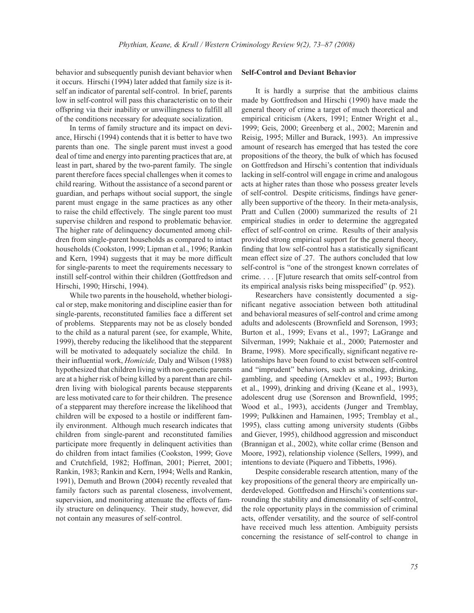behavior and subsequently punish deviant behavior when it occurs. Hirschi (1994) later added that family size is itself an indicator of parental self-control. In brief, parents low in self-control will pass this characteristic on to their offspring via their inability or unwillingness to fulfill all of the conditions necessary for adequate socialization.

In terms of family structure and its impact on deviance, Hirschi (1994) contends that it is better to have two parents than one. The single parent must invest a good deal of time and energy into parenting practices that are, at least in part, shared by the two-parent family. The single parent therefore faces special challenges when it comes to child rearing. Without the assistance of a second parent or guardian, and perhaps without social support, the single parent must engage in the same practices as any other to raise the child effectively. The single parent too must supervise children and respond to problematic behavior. The higher rate of delinquency documented among children from single-parent households as compared to intact households (Cookston, 1999; Lipman et al., 1996; Rankin and Kern, 1994) suggests that it may be more difficult for single-parents to meet the requirements necessary to instill self-control within their children (Gottfredson and Hirschi, 1990; Hirschi, 1994).

While two parents in the household, whether biological or step, make monitoring and discipline easier than for single-parents, reconstituted families face a different set of problems. Stepparents may not be as closely bonded to the child as a natural parent (see, for example, White, 1999), thereby reducing the likelihood that the stepparent will be motivated to adequately socialize the child. In their influential work, *Homicide,* Daly and Wilson (1988) hypothesized that children living with non-genetic parents are at a higher risk of being killed by a parent than are children living with biological parents because stepparents are less motivated care to for their children. The presence of a stepparent may therefore increase the likelihood that children will be exposed to a hostile or indifferent family environment. Although much research indicates that children from single-parent and reconstituted families participate more frequently in delinquent activities than do children from intact families (Cookston, 1999; Gove and Crutchfield, 1982; Hoffman, 2001; Pierret, 2001; Rankin, 1983; Rankin and Kern, 1994; Wells and Rankin, 1991), Demuth and Brown (2004) recently revealed that family factors such as parental closeness, involvement, supervision, and monitoring attenuate the effects of family structure on delinquency. Their study, however, did not contain any measures of self-control.

### **Self-Control and Deviant Behavior**

It is hardly a surprise that the ambitious claims made by Gottfredson and Hirschi (1990) have made the general theory of crime a target of much theoretical and empirical criticism (Akers, 1991; Entner Wright et al., 1999; Geis, 2000; Greenberg et al., 2002; Marenin and Reisig, 1995; Miller and Burack, 1993). An impressive amount of research has emerged that has tested the core propositions of the theory, the bulk of which has focused on Gottfredson and Hirschi's contention that individuals lacking in self-control will engage in crime and analogous acts at higher rates than those who possess greater levels of self-control. Despite criticisms, findings have generally been supportive of the theory. In their meta-analysis, Pratt and Cullen (2000) summarized the results of 21 empirical studies in order to determine the aggregated effect of self-control on crime. Results of their analysis provided strong empirical support for the general theory, finding that low self-control has a statistically significant mean effect size of .27. The authors concluded that low self-control is "one of the strongest known correlates of crime. . . . [F]uture research that omits self-control from its empirical analysis risks being misspecified" (p. 952).

Researchers have consistently documented a significant negative association between both attitudinal and behavioral measures of self-control and crime among adults and adolescents (Brownfield and Sorenson, 1993; Burton et al., 1999; Evans et al., 1997; LaGrange and Silverman, 1999; Nakhaie et al., 2000; Paternoster and Brame, 1998). More specifically, significant negative relationships have been found to exist between self-control and "imprudent" behaviors, such as smoking, drinking, gambling, and speeding (Arneklev et al., 1993; Burton et al., 1999), drinking and driving (Keane et al., 1993), adolescent drug use (Sorenson and Brownfield, 1995; Wood et al., 1993), accidents (Junger and Tremblay, 1999; Pulkkinen and Hamainen, 1995; Tremblay et al., 1995), class cutting among university students (Gibbs and Giever, 1995), childhood aggression and misconduct (Brannigan et al., 2002), white collar crime (Benson and Moore, 1992), relationship violence (Sellers, 1999), and intentions to deviate (Piquero and Tibbetts, 1996).

Despite considerable research attention, many of the key propositions of the general theory are empirically underdeveloped. Gottfredson and Hirschi's contentions surrounding the stability and dimensionality of self-control, the role opportunity plays in the commission of criminal acts, offender versatility, and the source of self-control have received much less attention. Ambiguity persists concerning the resistance of self-control to change in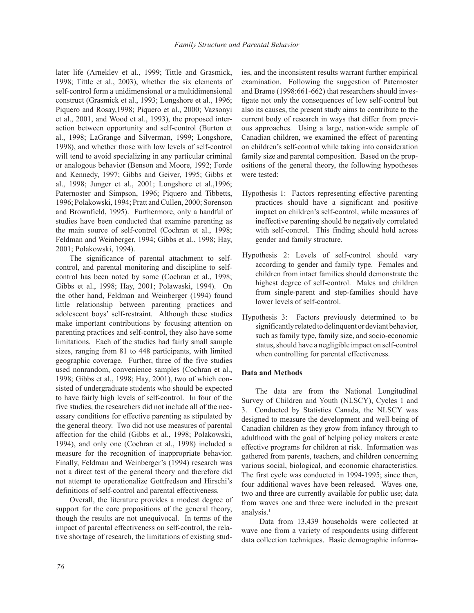later life (Arneklev et al., 1999; Tittle and Grasmick, 1998; Tittle et al., 2003), whether the six elements of self-control form a unidimensional or a multidimensional construct (Grasmick et al., 1993; Longshore et al., 1996; Piquero and Rosay,1998; Piquero et al., 2000; Vazsonyi et al., 2001, and Wood et al., 1993), the proposed interaction between opportunity and self-control (Burton et al., 1998; LaGrange and Silverman, 1999; Longshore, 1998), and whether those with low levels of self-control will tend to avoid specializing in any particular criminal or analogous behavior (Benson and Moore, 1992; Forde and Kennedy, 1997; Gibbs and Geiver, 1995; Gibbs et al., 1998; Junger et al., 2001; Longshore et al.,1996; Paternoster and Simpson, 1996; Piquero and Tibbetts, 1996; Polakowski, 1994; Pratt and Cullen, 2000; Sorenson and Brownfield, 1995). Furthermore, only a handful of studies have been conducted that examine parenting as the main source of self-control (Cochran et al., 1998; Feldman and Weinberger, 1994; Gibbs et al., 1998; Hay, 2001; Polakowski, 1994).

The significance of parental attachment to selfcontrol, and parental monitoring and discipline to selfcontrol has been noted by some (Cochran et al., 1998; Gibbs et al., 1998; Hay, 2001; Polawaski, 1994). On the other hand, Feldman and Weinberger (1994) found little relationship between parenting practices and adolescent boys' self-restraint. Although these studies make important contributions by focusing attention on parenting practices and self-control, they also have some limitations. Each of the studies had fairly small sample sizes, ranging from 81 to 448 participants, with limited geographic coverage. Further, three of the five studies used nonrandom, convenience samples (Cochran et al., 1998; Gibbs et al., 1998; Hay, 2001), two of which consisted of undergraduate students who should be expected to have fairly high levels of self-control. In four of the five studies, the researchers did not include all of the necessary conditions for effective parenting as stipulated by the general theory. Two did not use measures of parental affection for the child (Gibbs et al., 1998; Polakowski, 1994), and only one (Cochran et al., 1998) included a measure for the recognition of inappropriate behavior. Finally, Feldman and Weinberger's (1994) research was not a direct test of the general theory and therefore did not attempt to operationalize Gottfredson and Hirschi's definitions of self-control and parental effectiveness.

Overall, the literature provides a modest degree of support for the core propositions of the general theory, though the results are not unequivocal. In terms of the impact of parental effectiveness on self-control, the relative shortage of research, the limitations of existing studies, and the inconsistent results warrant further empirical examination. Following the suggestion of Paternoster and Brame (1998:661-662) that researchers should investigate not only the consequences of low self-control but also its causes, the present study aims to contribute to the current body of research in ways that differ from previous approaches. Using a large, nation-wide sample of Canadian children, we examined the effect of parenting on children's self-control while taking into consideration family size and parental composition. Based on the propositions of the general theory, the following hypotheses were tested:

- Hypothesis 1: Factors representing effective parenting practices should have a significant and positive impact on children's self-control, while measures of ineffective parenting should be negatively correlated with self-control. This finding should hold across gender and family structure.
- Hypothesis 2: Levels of self-control should vary according to gender and family type. Females and children from intact families should demonstrate the highest degree of self-control. Males and children from single-parent and step-families should have lower levels of self-control.
- Hypothesis 3: Factors previously determined to be significantly related to delinquent or deviant behavior, such as family type, family size, and socio-economic status, should have a negligible impact on self-control when controlling for parental effectiveness.

### **Data and Methods**

The data are from the National Longitudinal Survey of Children and Youth (NLSCY), Cycles 1 and 3. Conducted by Statistics Canada, the NLSCY was designed to measure the development and well-being of Canadian children as they grow from infancy through to adulthood with the goal of helping policy makers create effective programs for children at risk. Information was gathered from parents, teachers, and children concerning various social, biological, and economic characteristics. The first cycle was conducted in 1994-1995; since then, four additional waves have been released. Waves one, two and three are currently available for public use; data from waves one and three were included in the present analysis.<sup>1</sup>

 Data from 13,439 households were collected at wave one from a variety of respondents using different data collection techniques. Basic demographic informa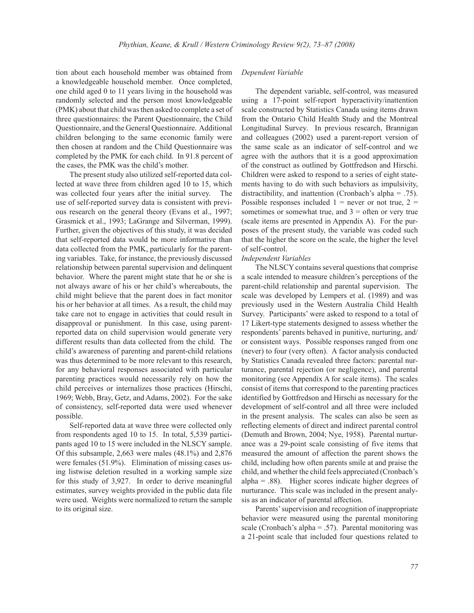tion about each household member was obtained from a knowledgeable household member. Once completed, one child aged 0 to 11 years living in the household was randomly selected and the person most knowledgeable (PMK) about that child was then asked to complete a set of three questionnaires: the Parent Questionnaire, the Child Questionnaire, and the General Questionnaire. Additional children belonging to the same economic family were then chosen at random and the Child Questionnaire was completed by the PMK for each child. In 91.8 percent of the cases, the PMK was the child's mother.

The present study also utilized self-reported data collected at wave three from children aged 10 to 15, which was collected four years after the initial survey. The use of self-reported survey data is consistent with previous research on the general theory (Evans et al., 1997; Grasmick et al., 1993; LaGrange and Silverman, 1999). Further, given the objectives of this study, it was decided that self-reported data would be more informative than data collected from the PMK, particularly for the parenting variables. Take, for instance, the previously discussed relationship between parental supervision and delinquent behavior. Where the parent might state that he or she is not always aware of his or her child's whereabouts, the child might believe that the parent does in fact monitor his or her behavior at all times. As a result, the child may take care not to engage in activities that could result in disapproval or punishment. In this case, using parentreported data on child supervision would generate very different results than data collected from the child. The child's awareness of parenting and parent-child relations was thus determined to be more relevant to this research, for any behavioral responses associated with particular parenting practices would necessarily rely on how the child perceives or internalizes those practices (Hirschi, 1969; Webb, Bray, Getz, and Adams, 2002). For the sake of consistency, self-reported data were used whenever possible.

Self-reported data at wave three were collected only from respondents aged 10 to 15. In total, 5,539 participants aged 10 to 15 were included in the NLSCY sample. Of this subsample, 2,663 were males (48.1%) and 2,876 were females (51.9%). Elimination of missing cases using listwise deletion resulted in a working sample size for this study of 3,927. In order to derive meaningful estimates, survey weights provided in the public data file were used. Weights were normalized to return the sample to its original size.

## *Dependent Variable*

The dependent variable, self-control, was measured using a 17-point self-report hyperactivity/inattention scale constructed by Statistics Canada using items drawn from the Ontario Child Health Study and the Montreal Longitudinal Survey. In previous research, Brannigan and colleagues (2002) used a parent-report version of the same scale as an indicator of self-control and we agree with the authors that it is a good approximation of the construct as outlined by Gottfredson and Hirschi. Children were asked to respond to a series of eight statements having to do with such behaviors as impulsivity, distractibility, and inattention (Cronbach's alpha = .75). Possible responses included  $1$  = never or not true,  $2$  = sometimes or somewhat true, and  $3 =$  often or very true (scale items are presented in Appendix A). For the purposes of the present study, the variable was coded such that the higher the score on the scale, the higher the level of self-control.

#### *Independent Variables*

The NLSCY contains several questions that comprise a scale intended to measure children's perceptions of the parent-child relationship and parental supervision. The scale was developed by Lempers et al. (1989) and was previously used in the Western Australia Child Health Survey. Participants' were asked to respond to a total of 17 Likert-type statements designed to assess whether the respondents' parents behaved in punitive, nurturing, and/ or consistent ways. Possible responses ranged from one (never) to four (very often). A factor analysis conducted by Statistics Canada revealed three factors: parental nurturance, parental rejection (or negligence), and parental monitoring (see Appendix A for scale items). The scales consist of items that correspond to the parenting practices identified by Gottfredson and Hirschi as necessary for the development of self-control and all three were included in the present analysis. The scales can also be seen as reflecting elements of direct and indirect parental control (Demuth and Brown, 2004; Nye, 1958). Parental nurturance was a 29-point scale consisting of five items that measured the amount of affection the parent shows the child, including how often parents smile at and praise the child, and whether the child feels appreciated (Cronbach's alpha = .88). Higher scores indicate higher degrees of nurturance. This scale was included in the present analysis as an indicator of parental affection.

Parents' supervision and recognition of inappropriate behavior were measured using the parental monitoring scale (Cronbach's alpha  $= .57$ ). Parental monitoring was a 21-point scale that included four questions related to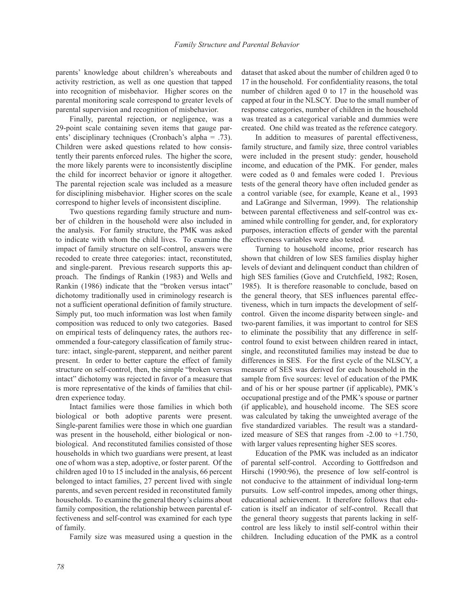parents' knowledge about children's whereabouts and activity restriction, as well as one question that tapped into recognition of misbehavior. Higher scores on the parental monitoring scale correspond to greater levels of parental supervision and recognition of misbehavior.

Finally, parental rejection, or negligence, was a 29-point scale containing seven items that gauge parents' disciplinary techniques (Cronbach's alpha = .73). Children were asked questions related to how consistently their parents enforced rules. The higher the score, the more likely parents were to inconsistently discipline the child for incorrect behavior or ignore it altogether. The parental rejection scale was included as a measure for disciplining misbehavior. Higher scores on the scale correspond to higher levels of inconsistent discipline.

Two questions regarding family structure and number of children in the household were also included in the analysis. For family structure, the PMK was asked to indicate with whom the child lives. To examine the impact of family structure on self-control, answers were recoded to create three categories: intact, reconstituted, and single-parent. Previous research supports this approach. The findings of Rankin (1983) and Wells and Rankin (1986) indicate that the "broken versus intact" dichotomy traditionally used in criminology research is not a sufficient operational definition of family structure. Simply put, too much information was lost when family composition was reduced to only two categories. Based on empirical tests of delinquency rates, the authors recommended a four-category classification of family structure: intact, single-parent, stepparent, and neither parent present. In order to better capture the effect of family structure on self-control, then, the simple "broken versus intact" dichotomy was rejected in favor of a measure that is more representative of the kinds of families that children experience today.

Intact families were those families in which both biological or both adoptive parents were present. Single-parent families were those in which one guardian was present in the household, either biological or nonbiological. And reconstituted families consisted of those households in which two guardians were present, at least one of whom was a step, adoptive, or foster parent. Of the children aged 10 to 15 included in the analysis, 66 percent belonged to intact families, 27 percent lived with single parents, and seven percent resided in reconstituted family households. To examine the general theory's claims about family composition, the relationship between parental effectiveness and self-control was examined for each type of family.

Family size was measured using a question in the

dataset that asked about the number of children aged 0 to 17 in the household. For confidentiality reasons, the total number of children aged 0 to 17 in the household was capped at four in the NLSCY. Due to the small number of response categories, number of children in the household was treated as a categorical variable and dummies were created. One child was treated as the reference category.

In addition to measures of parental effectiveness, family structure, and family size, three control variables were included in the present study: gender, household income, and education of the PMK. For gender, males were coded as 0 and females were coded 1. Previous tests of the general theory have often included gender as a control variable (see, for example, Keane et al., 1993 and LaGrange and Silverman, 1999). The relationship between parental effectiveness and self-control was examined while controlling for gender, and, for exploratory purposes, interaction effects of gender with the parental effectiveness variables were also tested.

Turning to household income, prior research has shown that children of low SES families display higher levels of deviant and delinquent conduct than children of high SES families (Gove and Crutchfield, 1982; Rosen, 1985). It is therefore reasonable to conclude, based on the general theory, that SES influences parental effectiveness, which in turn impacts the development of selfcontrol. Given the income disparity between single- and two-parent families, it was important to control for SES to eliminate the possibility that any difference in selfcontrol found to exist between children reared in intact, single, and reconstituted families may instead be due to differences in SES. For the first cycle of the NLSCY, a measure of SES was derived for each household in the sample from five sources: level of education of the PMK and of his or her spouse partner (if applicable), PMK's occupational prestige and of the PMK's spouse or partner (if applicable), and household income. The SES score was calculated by taking the unweighted average of the five standardized variables. The result was a standardized measure of SES that ranges from -2.00 to +1.750, with larger values representing higher SES scores.

Education of the PMK was included as an indicator of parental self-control. According to Gottfredson and Hirschi (1990:96), the presence of low self-control is not conducive to the attainment of individual long-term pursuits. Low self-control impedes, among other things, educational achievement. It therefore follows that education is itself an indicator of self-control. Recall that the general theory suggests that parents lacking in selfcontrol are less likely to instil self-control within their children. Including education of the PMK as a control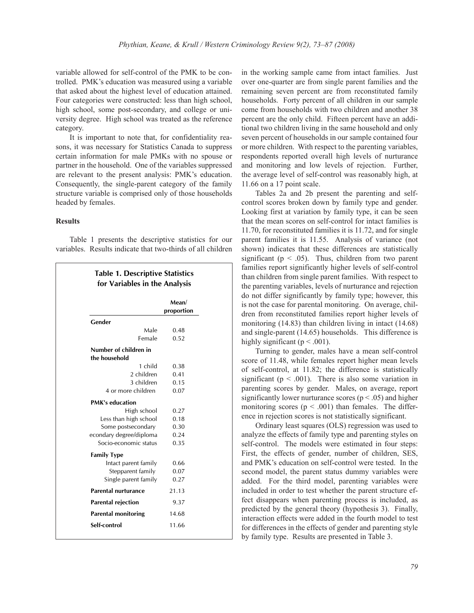variable allowed for self-control of the PMK to be controlled. PMK's education was measured using a variable that asked about the highest level of education attained. Four categories were constructed: less than high school, high school, some post-secondary, and college or university degree. High school was treated as the reference category.

It is important to note that, for confidentiality reasons, it was necessary for Statistics Canada to suppress certain information for male PMKs with no spouse or partner in the household. One of the variables suppressed are relevant to the present analysis: PMK's education. Consequently, the single-parent category of the family structure variable is comprised only of those households headed by females.

# **Results**

Table 1 presents the descriptive statistics for our variables. Results indicate that two-thirds of all children

**Table 1. Descriptive Statistics** 

|                                        | Mean/<br>proportion |
|----------------------------------------|---------------------|
| Gender                                 |                     |
| Male                                   | 0.48                |
| Female                                 | 0.52                |
| Number of children in<br>the household |                     |
| 1 child                                | 0.38                |
| 2 children                             | 0.41                |
| 3 children                             | 0.15                |
| 4 or more children                     | 0.07                |
| <b>PMK's education</b>                 |                     |
| High school                            | 0.27                |
| Less than high school                  | 0.18                |
| Some postsecondary                     | 0.30                |
| econdary degree/diploma                | 0.24                |
| Socio-economic status                  | 0.35                |
| <b>Family Type</b>                     |                     |
| Intact parent family                   | 0.66                |
| Stepparent family                      | 0.07                |
| Single parent family                   | 0.27                |
| Parental nurturance                    | 21.13               |
| <b>Parental rejection</b>              | 9.37                |
| <b>Parental monitoring</b>             | 14.68               |
| Self-control                           | 11.66               |

in the working sample came from intact families. Just over one-quarter are from single parent families and the remaining seven percent are from reconstituted family households. Forty percent of all children in our sample come from households with two children and another 38 percent are the only child. Fifteen percent have an additional two children living in the same household and only seven percent of households in our sample contained four or more children. With respect to the parenting variables, respondents reported overall high levels of nurturance and monitoring and low levels of rejection. Further, the average level of self-control was reasonably high, at 11.66 on a 17 point scale.

Tables 2a and 2b present the parenting and selfcontrol scores broken down by family type and gender. Looking first at variation by family type, it can be seen that the mean scores on self-control for intact families is 11.70, for reconstituted families it is 11.72, and for single parent families it is 11.55. Analysis of variance (not shown) indicates that these differences are statistically significant ( $p < .05$ ). Thus, children from two parent families report significantly higher levels of self-control than children from single parent families. With respect to the parenting variables, levels of nurturance and rejection do not differ significantly by family type; however, this is not the case for parental monitoring. On average, children from reconstituted families report higher levels of monitoring (14.83) than children living in intact (14.68) and single-parent (14.65) households. This difference is highly significant ( $p < .001$ ).

Turning to gender, males have a mean self-control score of 11.48, while females report higher mean levels of self-control, at 11.82; the difference is statistically significant ( $p < .001$ ). There is also some variation in parenting scores by gender. Males, on average, report significantly lower nurturance scores ( $p < .05$ ) and higher monitoring scores ( $p < .001$ ) than females. The difference in rejection scores is not statistically significant.

Ordinary least squares (OLS) regression was used to analyze the effects of family type and parenting styles on self-control. The models were estimated in four steps: First, the effects of gender, number of children, SES, and PMK's education on self-control were tested. In the second model, the parent status dummy variables were added. For the third model, parenting variables were included in order to test whether the parent structure effect disappears when parenting process is included, as predicted by the general theory (hypothesis 3). Finally, interaction effects were added in the fourth model to test for differences in the effects of gender and parenting style by family type. Results are presented in Table 3.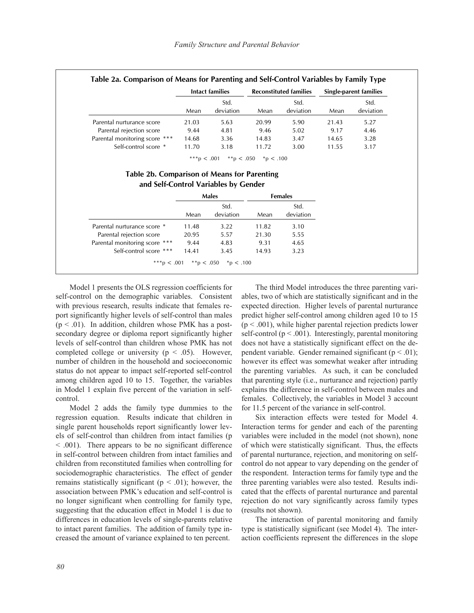|                                             | Intact families |                   | <b>Reconstituted families</b> |                        | Single-parent families |                   |
|---------------------------------------------|-----------------|-------------------|-------------------------------|------------------------|------------------------|-------------------|
|                                             | Mean            | Std.<br>deviation | Mean                          | Std.<br>deviation      | Mean                   | Std.<br>deviation |
| Parental nurturance score                   | 21.03           | 5.63              | 20.99                         | 5.90                   | 21.43                  | 5.27              |
| Parental rejection score                    | 9.44            | 4.81              | 9.46                          | 5.02                   | 9.17                   | 4.46              |
| Parental monitoring score ***               | 14.68           | 3.36              | 14.83                         | 3.47                   | 14.65                  | 3.28              |
| Self-control score *                        | 11.70           | 3.18              | 11.72                         | 3.00                   | 11.55                  | 3.17              |
| Table 2b. Comparison of Means for Parenting | ***p $< .001$   | **p $< .050$      | $*_{\text{D}} < .100$         |                        |                        |                   |
| and Self-Control Variables by Gender        |                 |                   |                               |                        |                        |                   |
|                                             |                 | Males<br>Std.     |                               | <b>Females</b><br>Std. |                        |                   |
|                                             | Mean            | deviation         | Mean                          | deviation              |                        |                   |
| Parental nurturance score *                 | 11.48           | 3.22              | 11.82                         | 3.10                   |                        |                   |
| Parental rejection score                    | 20.95           | 5.57              | 21.30                         | 5.55                   |                        |                   |
| Parental monitoring score ***               | 9.44            | 4.83              | 9.31                          | 4.65                   |                        |                   |

\*\*\*p < .001 \*\*p < .050 \*p < .100

Model 1 presents the OLS regression coefficients for self-control on the demographic variables. Consistent with previous research, results indicate that females report significantly higher levels of self-control than males  $(p < .01)$ . In addition, children whose PMK has a postsecondary degree or diploma report significantly higher levels of self-control than children whose PMK has not completed college or university ( $p < .05$ ). However, number of children in the household and socioeconomic status do not appear to impact self-reported self-control among children aged 10 to 15. Together, the variables in Model 1 explain five percent of the variation in selfcontrol.

Model 2 adds the family type dummies to the regression equation. Results indicate that children in single parent households report significantly lower levels of self-control than children from intact families (p < .001). There appears to be no significant difference in self-control between children from intact families and children from reconstituted families when controlling for sociodemographic characteristics. The effect of gender remains statistically significant ( $p < .01$ ); however, the association between PMK's education and self-control is no longer significant when controlling for family type, suggesting that the education effect in Model 1 is due to differences in education levels of single-parents relative to intact parent families. The addition of family type increased the amount of variance explained to ten percent.

The third Model introduces the three parenting variables, two of which are statistically significant and in the expected direction. Higher levels of parental nurturance predict higher self-control among children aged 10 to 15  $(p < .001)$ , while higher parental rejection predicts lower self-control ( $p < .001$ ). Interestingly, parental monitoring does not have a statistically significant effect on the dependent variable. Gender remained significant ( $p < .01$ ); however its effect was somewhat weaker after intruding the parenting variables. As such, it can be concluded that parenting style (i.e., nurturance and rejection) partly explains the difference in self-control between males and females. Collectively, the variables in Model 3 account for 11.5 percent of the variance in self-control.

Six interaction effects were tested for Model 4. Interaction terms for gender and each of the parenting variables were included in the model (not shown), none of which were statistically significant. Thus, the effects of parental nurturance, rejection, and monitoring on selfcontrol do not appear to vary depending on the gender of the respondent. Interaction terms for family type and the three parenting variables were also tested. Results indicated that the effects of parental nurturance and parental rejection do not vary significantly across family types (results not shown).

The interaction of parental monitoring and family type is statistically significant (see Model 4). The interaction coefficients represent the differences in the slope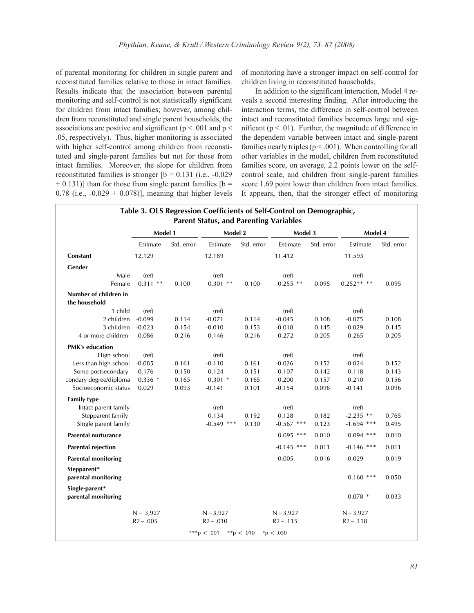of parental monitoring for children in single parent and reconstituted families relative to those in intact families. Results indicate that the association between parental monitoring and self-control is not statistically significant for children from intact families; however, among children from reconstituted and single parent households, the associations are positive and significant ( $p < .001$  and  $p <$ .05, respectively). Thus, higher monitoring is associated with higher self-control among children from reconstituted and single-parent families but not for those from intact families. Moreover, the slope for children from reconstituted families is stronger  $[b = 0.131$  (i.e.,  $-0.029$ )  $+ 0.131$ ] than for those from single parent families [b = 0.78 (i.e.,  $-0.029 + 0.078$ )], meaning that higher levels

of monitoring have a stronger impact on self-control for children living in reconstituted households.

In addition to the significant interaction, Model 4 reveals a second interesting finding. After introducing the interaction terms, the difference in self-control between intact and reconstituted families becomes large and significant ( $p < .01$ ). Further, the magnitude of difference in the dependent variable between intact and single-parent families nearly triples ( $p < .001$ ). When controlling for all other variables in the model, children from reconstituted families score, on average, 2.2 points lower on the selfcontrol scale, and children from single-parent families score 1.69 point lower than children from intact families. It appears, then, that the stronger effect of monitoring

|                                        | Model 1     |            | Model 2      |            | Model 3      |            | Model 4      |            |
|----------------------------------------|-------------|------------|--------------|------------|--------------|------------|--------------|------------|
|                                        | Estimate    | Std. error | Estimate     | Std. error | Estimate     | Std. error | Estimate     | Std. error |
| Constant                               | 12.129      |            | 12.189       |            | 11.412       |            | 11.593       |            |
| Gender                                 |             |            |              |            |              |            |              |            |
| Male                                   | (ref)       |            | (ref)        |            | (ref)        |            | (ref)        |            |
| Female                                 | $0.311$ **  | 0.100      | $0.301$ **   | 0.100      | $0.255$ **   | 0.095      | $0.252***$   | 0.095      |
| Number of children in<br>the household |             |            |              |            |              |            |              |            |
| 1 child                                | (ref)       |            | (ref)        |            | (ref)        |            | (ref)        |            |
| 2 children                             | $-0.099$    | 0.114      | $-0.071$     | 0.114      | $-0.045$     | 0.108      | $-0.075$     | 0.108      |
| 3 children                             | $-0.023$    | 0.154      | $-0.010$     | 0.153      | $-0.018$     | 0.145      | $-0.029$     | 0.145      |
| 4 or more children                     | 0.086       | 0.216      | 0.146        | 0.216      | 0.272        | 0.205      | 0.265        | 0.205      |
| <b>PMK's education</b>                 |             |            |              |            |              |            |              |            |
| High school                            | (ref)       |            | (ref)        |            | (ref)        |            | (ref)        |            |
| Less than high school                  | $-0.085$    | 0.161      | $-0.110$     | 0.161      | $-0.026$     | 0.152      | $-0.024$     | 0.152      |
| Some postsecondary                     | 0.176       | 0.150      | 0.124        | 0.151      | 0.107        | 0.142      | 0.118        | 0.143      |
| condary degree/diploma                 | $0.336*$    | 0.165      | $0.301$ *    | 0.165      | 0.200        | 0.157      | 0.210        | 0.156      |
| Socioeconomic status                   | 0.029       | 0.093      | $-0.141$     | 0.101      | $-0.154$     | 0.096      | $-0.141$     | 0.096      |
| <b>Family type</b>                     |             |            |              |            |              |            |              |            |
| Intact parent family                   |             |            | (ref)        |            | (ref)        |            | (ref)        |            |
| Stepparent family                      |             |            | 0.134        | 0.192      | 0.128        | 0.182      | $-2.235$ **  | 0.765      |
| Single parent family                   |             |            | $-0.549$ *** | 0.130      | $-0.567$ *** | 0.123      | $-1.694$ *** | 0.495      |
| <b>Parental nurturance</b>             |             |            |              |            | $0.095$ ***  | 0.010      | $0.094$ ***  | 0.010      |
| <b>Parental rejection</b>              |             |            |              |            | $-0.145$ *** | 0.011      | $-0.146$ *** | 0.011      |
| <b>Parental monitoring</b>             |             |            |              |            | 0.005        | 0.016      | $-0.029$     | 0.019      |
| Stepparent*<br>parental monitoring     |             |            |              |            |              |            | $0.160$ ***  | 0.050      |
| Single-parent*<br>parental monitoring  |             |            |              |            |              |            | $0.078$ *    | 0.033      |
|                                        | $N = 3,927$ |            | $N = 3,927$  |            | $N = 3,927$  |            | $N = 3,927$  |            |
|                                        | $R2 = .005$ |            | $R2 = .010$  |            | $R2 = .115$  |            | $R2 = .118$  |            |

**Table 3. OLS Regression Coefficients of Self-Control on Demographic,**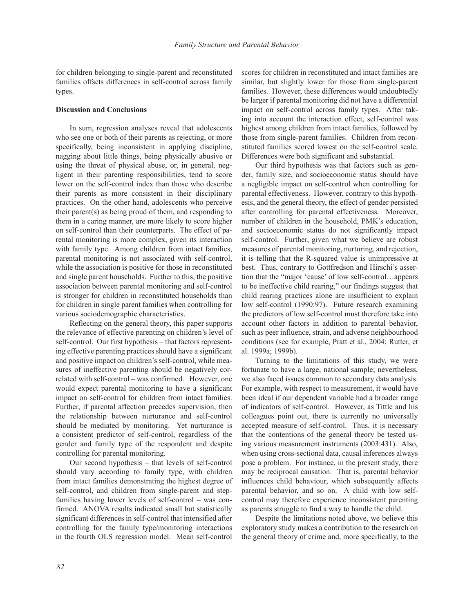for children belonging to single-parent and reconstituted families offsets differences in self-control across family types.

## **Discussion and Conclusions**

In sum, regression analyses reveal that adolescents who see one or both of their parents as rejecting, or more specifically, being inconsistent in applying discipline, nagging about little things, being physically abusive or using the threat of physical abuse, or, in general, negligent in their parenting responsibilities, tend to score lower on the self-control index than those who describe their parents as more consistent in their disciplinary practices. On the other hand, adolescents who perceive their parent(s) as being proud of them, and responding to them in a caring manner, are more likely to score higher on self-control than their counterparts. The effect of parental monitoring is more complex, given its interaction with family type. Among children from intact families, parental monitoring is not associated with self-control, while the association is positive for those in reconstituted and single parent households. Further to this, the positive association between parental monitoring and self-control is stronger for children in reconstituted households than for children in single parent families when controlling for various sociodemographic characteristics.

Reflecting on the general theory, this paper supports the relevance of effective parenting on children's level of self-control. Our first hypothesis – that factors representing effective parenting practices should have a significant and positive impact on children's self-control, while measures of ineffective parenting should be negatively correlated with self-control – was confirmed. However, one would expect parental monitoring to have a significant impact on self-control for children from intact families. Further, if parental affection precedes supervision, then the relationship between nurturance and self-control should be mediated by monitoring. Yet nurturance is a consistent predictor of self-control, regardless of the gender and family type of the respondent and despite controlling for parental monitoring.

Our second hypothesis – that levels of self-control should vary according to family type, with children from intact families demonstrating the highest degree of self-control, and children from single-parent and stepfamilies having lower levels of self-control – was confirmed. ANOVA results indicated small but statistically significant differences in self-control that intensified after controlling for the family type/monitoring interactions in the fourth OLS regression model. Mean self-control

scores for children in reconstituted and intact families are similar, but slightly lower for those from single-parent families. However, these differences would undoubtedly be larger if parental monitoring did not have a differential impact on self-control across family types. After taking into account the interaction effect, self-control was highest among children from intact families, followed by those from single-parent families. Children from reconstituted families scored lowest on the self-control scale. Differences were both significant and substantial.

Our third hypothesis was that factors such as gender, family size, and socioeconomic status should have a negligible impact on self-control when controlling for parental effectiveness. However, contrary to this hypothesis, and the general theory, the effect of gender persisted after controlling for parental effectiveness. Moreover, number of children in the household, PMK's education, and socioeconomic status do not significantly impact self-control. Further, given what we believe are robust measures of parental monitoring, nurturing, and rejection, it is telling that the R-squared value is unimpressive at best. Thus, contrary to Gottfredson and Hirschi's assertion that the "major 'cause' of low self-control…appears to be ineffective child rearing," our findings suggest that child rearing practices alone are insufficient to explain low self-control (1990:97). Future research examining the predictors of low self-control must therefore take into account other factors in addition to parental behavior, such as peer influence, strain, and adverse neighbourhood conditions (see for example, Pratt et al., 2004; Rutter, et al. 1999a; 1999b).

Turning to the limitations of this study, we were fortunate to have a large, national sample; nevertheless, we also faced issues common to secondary data analysis. For example, with respect to measurement, it would have been ideal if our dependent variable had a broader range of indicators of self-control. However, as Tittle and his colleagues point out, there is currently no universally accepted measure of self-control. Thus, it is necessary that the contentions of the general theory be tested using various measurement instruments (2003:431). Also, when using cross-sectional data, causal inferences always pose a problem. For instance, in the present study, there may be reciprocal causation. That is, parental behavior influences child behaviour, which subsequently affects parental behavior, and so on. A child with low selfcontrol may therefore experience inconsistent parenting as parents struggle to find a way to handle the child.

Despite the limitations noted above, we believe this exploratory study makes a contribution to the research on the general theory of crime and, more specifically, to the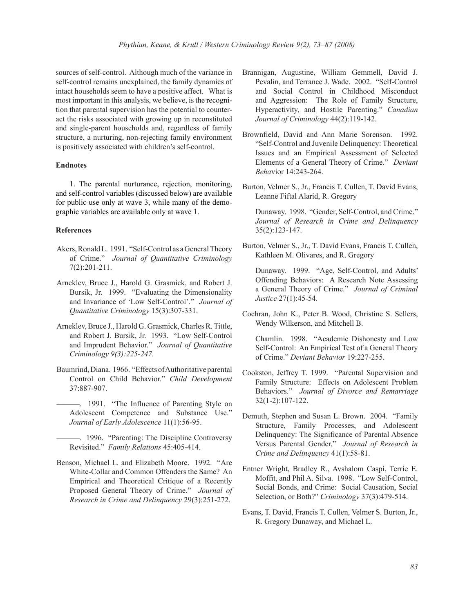sources of self-control. Although much of the variance in self-control remains unexplained, the family dynamics of intact households seem to have a positive affect. What is most important in this analysis, we believe, is the recognition that parental supervision has the potential to counteract the risks associated with growing up in reconstituted and single-parent households and, regardless of family structure, a nurturing, non-rejecting family environment is positively associated with children's self-control.

## **Endnotes**

1. The parental nurturance, rejection, monitoring, and self-control variables (discussed below) are available for public use only at wave 3, while many of the demographic variables are available only at wave 1.

#### **References**

- Akers, Ronald L. 1991. "Self-Control as a General Theory of Crime." *Journal of Quantitative Criminology* 7(2):201-211.
- Arneklev, Bruce J., Harold G. Grasmick, and Robert J. Bursik, Jr. 1999. "Evaluating the Dimensionality and Invariance of 'Low Self-Control'." *Journal of Quantitative Criminology* 15(3):307-331.
- Arneklev, Bruce J., Harold G. Grasmick, Charles R. Tittle, and Robert J. Bursik, Jr. 1993. "Low Self-Control and Imprudent Behavior." *Journal of Quantitative Criminology 9(3):225-247.*
- Baumrind, Diana. 1966. "Effects of Authoritative parental Control on Child Behavior." *Child Development* 37:887-907.
	- ———. 1991. "The Influence of Parenting Style on Adolescent Competence and Substance Use." *Journal of Early Adolescence* 11(1):56-95.
	- ———. 1996. "Parenting: The Discipline Controversy Revisited." *Family Relations* 45:405-414.
- Benson, Michael L. and Elizabeth Moore. 1992. "Are White-Collar and Common Offenders the Same? An Empirical and Theoretical Critique of a Recently Proposed General Theory of Crime." *Journal of Research in Crime and Delinquency* 29(3):251-272.
- Brannigan, Augustine, William Gemmell, David J. Pevalin, and Terrance J. Wade. 2002. "Self-Control and Social Control in Childhood Misconduct and Aggression: The Role of Family Structure, Hyperactivity, and Hostile Parenting." *Canadian Journal of Criminology* 44(2):119-142.
- Brownfield, David and Ann Marie Sorenson. 1992. "Self-Control and Juvenile Delinquency: Theoretical Issues and an Empirical Assessment of Selected Elements of a General Theory of Crime." *Deviant Beha*vior 14:243-264.
- Burton, Velmer S., Jr., Francis T. Cullen, T. David Evans, Leanne Fiftal Alarid, R. Gregory

Dunaway. 1998. "Gender, Self-Control, and Crime." *Journal of Research in Crime and Delinquency*  35(2):123-147.

Burton, Velmer S., Jr., T. David Evans, Francis T. Cullen, Kathleen M. Olivares, and R. Gregory

Dunaway. 1999. "Age, Self-Control, and Adults' Offending Behaviors: A Research Note Assessing a General Theory of Crime." *Journal of Criminal Justice* 27(1):45-54.

Cochran, John K., Peter B. Wood, Christine S. Sellers, Wendy Wilkerson, and Mitchell B.

Chamlin. 1998. "Academic Dishonesty and Low Self-Control: An Empirical Test of a General Theory of Crime." *Deviant Behavior* 19:227-255.

- Cookston, Jeffrey T. 1999. "Parental Supervision and Family Structure: Effects on Adolescent Problem Behaviors." *Journal of Divorce and Remarriage* 32(1-2):107-122.
- Demuth, Stephen and Susan L. Brown. 2004. "Family Structure, Family Processes, and Adolescent Delinquency: The Significance of Parental Absence Versus Parental Gender." *Journal of Research in Crime and Delinquency* 41(1):58-81.
- Entner Wright, Bradley R., Avshalom Caspi, Terrie E. Moffit, and Phil A. Silva. 1998. "Low Self-Control, Social Bonds, and Crime: Social Causation, Social Selection, or Both?" *Criminology* 37(3):479-514.
- Evans, T. David, Francis T. Cullen, Velmer S. Burton, Jr., R. Gregory Dunaway, and Michael L.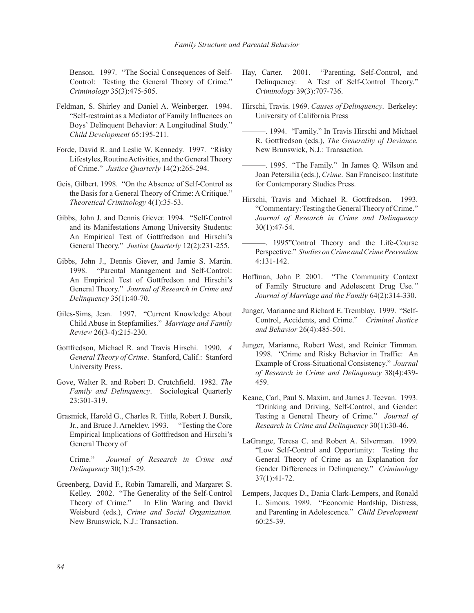Benson. 1997. "The Social Consequences of Self-Control: Testing the General Theory of Crime." *Criminology* 35(3):475-505.

- Feldman, S. Shirley and Daniel A. Weinberger. 1994. "Self-restraint as a Mediator of Family Influences on Boys' Delinquent Behavior: A Longitudinal Study." *Child Development* 65:195-211.
- Forde, David R. and Leslie W. Kennedy. 1997. "Risky Lifestyles, Routine Activities, and the General Theory of Crime." *Justice Quarterly* 14(2):265-294.
- Geis, Gilbert. 1998. "On the Absence of Self-Control as the Basis for a General Theory of Crime: A Critique." *Theoretical Criminology* 4(1):35-53.
- Gibbs, John J. and Dennis Giever. 1994. "Self-Control and its Manifestations Among University Students: An Empirical Test of Gottfredson and Hirschi's General Theory." *Justice Quarterly* 12(2):231-255.
- Gibbs, John J., Dennis Giever, and Jamie S. Martin. 1998. "Parental Management and Self-Control: An Empirical Test of Gottfredson and Hirschi's General Theory." *Journal of Research in Crime and Delinquency* 35(1):40-70.
- Giles-Sims, Jean. 1997. "Current Knowledge About Child Abuse in Stepfamilies." *Marriage and Family Review* 26(3-4):215-230.
- Gottfredson, Michael R. and Travis Hirschi. 1990. *A General Theory of Crime*. Stanford, Calif.: Stanford University Press.
- Gove, Walter R. and Robert D. Crutchfield. 1982. *The Family and Delinquency*. Sociological Quarterly 23:301-319.
- Grasmick, Harold G., Charles R. Tittle, Robert J. Bursik, Jr., and Bruce J. Arneklev. 1993. "Testing the Core Empirical Implications of Gottfredson and Hirschi's General Theory of

Crime." *Journal of Research in Crime and Delinquency* 30(1):5-29.

Greenberg, David F., Robin Tamarelli, and Margaret S. Kelley. 2002. "The Generality of the Self-Control Theory of Crime." In Elin Waring and David Weisburd (eds.), *Crime and Social Organization.* New Brunswick, N.J.: Transaction.

- Hay, Carter. 2001. "Parenting, Self-Control, and Delinquency: A Test of Self-Control Theory." *Criminology* 39(3):707-736.
- Hirschi, Travis. 1969. *Causes of Delinquency*. Berkeley: University of California Press
- ———. 1994. "Family." In Travis Hirschi and Michael R. Gottfredson (eds.), *The Generality of Deviance.* New Brunswick, N.J.: Transaction.
- ———. 1995. "The Family." In James Q. Wilson and Joan Petersilia (eds.), *Crime*. San Francisco: Institute for Contemporary Studies Press.
- Hirschi, Travis and Michael R. Gottfredson. 1993. "Commentary: Testing the General Theory of Crime." *Journal of Research in Crime and Delinquency* 30(1):47-54.
- ———. 1995"Control Theory and the Life-Course Perspective." *Studies on Crime and Crime Prevention* 4:131-142.
- Hoffman, John P. 2001. "The Community Context of Family Structure and Adolescent Drug Use*." Journal of Marriage and the Family* 64(2):314-330.
- Junger, Marianne and Richard E. Tremblay. 1999. "Self-Control, Accidents, and Crime." *Criminal Justice and Behavior* 26(4):485-501.
- Junger, Marianne, Robert West, and Reinier Timman. 1998. "Crime and Risky Behavior in Traffic: An Example of Cross-Situational Consistency." *Journal of Research in Crime and Delinquency* 38(4):439- 459.
- Keane, Carl, Paul S. Maxim, and James J. Teevan. 1993. "Drinking and Driving, Self-Control, and Gender: Testing a General Theory of Crime." *Journal of Research in Crime and Delinquency* 30(1):30-46.
- LaGrange, Teresa C. and Robert A. Silverman. 1999. "Low Self-Control and Opportunity: Testing the General Theory of Crime as an Explanation for Gender Differences in Delinquency." *Criminology* 37(1):41-72.
- Lempers, Jacques D., Dania Clark-Lempers, and Ronald L. Simons. 1989. "Economic Hardship, Distress, and Parenting in Adolescence." *Child Development* 60:25-39.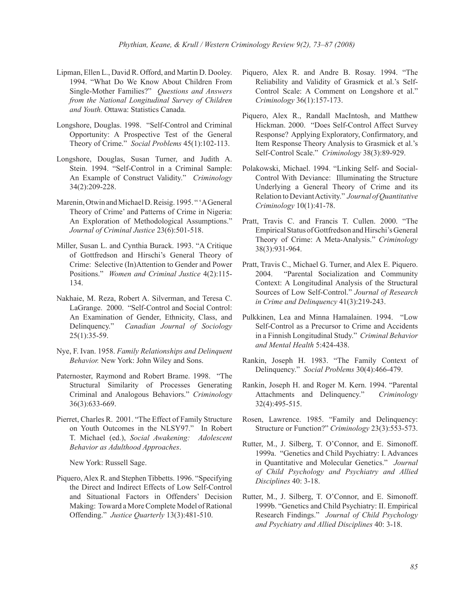- Lipman, Ellen L., David R. Offord, and Martin D. Dooley. 1994. "What Do We Know About Children From Single-Mother Families?" *Questions and Answers from the National Longitudinal Survey of Children and Youth.* Ottawa: Statistics Canada.
- Longshore, Douglas. 1998. "Self-Control and Criminal Opportunity: A Prospective Test of the General Theory of Crime." *Social Problems* 45(1):102-113.
- Longshore, Douglas, Susan Turner, and Judith A. Stein. 1994. "Self-Control in a Criminal Sample: An Example of Construct Validity." *Criminology*  34(2):209-228.
- Marenin, Otwin and Michael D. Reisig. 1995. " 'A General Theory of Crime' and Patterns of Crime in Nigeria: An Exploration of Methodological Assumptions." *Journal of Criminal Justice* 23(6):501-518.
- Miller, Susan L. and Cynthia Burack. 1993. "A Critique of Gottfredson and Hirschi's General Theory of Crime: Selective (In)Attention to Gender and Power Positions." *Women and Criminal Justice* 4(2):115- 134.
- Nakhaie, M. Reza, Robert A. Silverman, and Teresa C. LaGrange. 2000. "Self-Control and Social Control: An Examination of Gender, Ethnicity, Class, and Delinquency." *Canadian Journal of Sociology*   $25(1):35-59.$
- Nye, F. Ivan. 1958. *Family Relationships and Delinquent Behavior.* New York: John Wiley and Sons.
- Paternoster, Raymond and Robert Brame. 1998. "The Structural Similarity of Processes Generating Criminal and Analogous Behaviors." *Criminology*  36(3):633-669.
- Pierret, Charles R. 2001. "The Effect of Family Structure on Youth Outcomes in the NLSY97." In Robert T. Michael (ed.), *Social Awakening: Adolescent Behavior as Adulthood Approaches*.

New York: Russell Sage.

Piquero, Alex R. and Stephen Tibbetts. 1996. "Specifying the Direct and Indirect Effects of Low Self-Control and Situational Factors in Offenders' Decision Making: Toward a More Complete Model of Rational Offending." *Justice Quarterly* 13(3):481-510.

- Piquero, Alex R. and Andre B. Rosay. 1994. "The Reliability and Validity of Grasmick et al.'s Self-Control Scale: A Comment on Longshore et al." *Criminology* 36(1):157-173.
- Piquero, Alex R., Randall MacIntosh, and Matthew Hickman. 2000. "Does Self-Control Affect Survey Response? Applying Exploratory, Confirmatory, and Item Response Theory Analysis to Grasmick et al.'s Self-Control Scale." *Criminology* 38(3):89-929.
- Polakowski, Michael. 1994. "Linking Self- and Social-Control With Deviance: Illuminating the Structure Underlying a General Theory of Crime and its Relation to Deviant Activity." *Journal of Quantitative Criminology* 10(1):41-78.
- Pratt, Travis C. and Francis T. Cullen. 2000. "The Empirical Status of Gottfredson and Hirschi's General Theory of Crime: A Meta-Analysis." *Criminology* 38(3):931-964.
- Pratt, Travis C., Michael G. Turner, and Alex E. Piquero. 2004. "Parental Socialization and Community Context: A Longitudinal Analysis of the Structural Sources of Low Self-Control." *Journal of Research in Crime and Delinquency* 41(3):219-243.
- Pulkkinen, Lea and Minna Hamalainen. 1994. "Low Self-Control as a Precursor to Crime and Accidents in a Finnish Longitudinal Study." *Criminal Behavior and Mental Health* 5:424-438.
- Rankin, Joseph H. 1983. "The Family Context of Delinquency." *Social Problems* 30(4):466-479.
- Rankin, Joseph H. and Roger M. Kern. 1994. "Parental Attachments and Delinquency." *Criminology* 32(4):495-515.
- Rosen, Lawrence. 1985. "Family and Delinquency: Structure or Function?" *Criminology* 23(3):553-573.
- Rutter, M., J. Silberg, T. O'Connor, and E. Simonoff. 1999a. "Genetics and Child Psychiatry: I. Advances in Quantitative and Molecular Genetics." *Journal of Child Psychology and Psychiatry and Allied Disciplines* 40: 3-18.
- Rutter, M., J. Silberg, T. O'Connor, and E. Simonoff. 1999b. "Genetics and Child Psychiatry: II. Empirical Research Findings." *Journal of Child Psychology and Psychiatry and Allied Disciplines* 40: 3-18.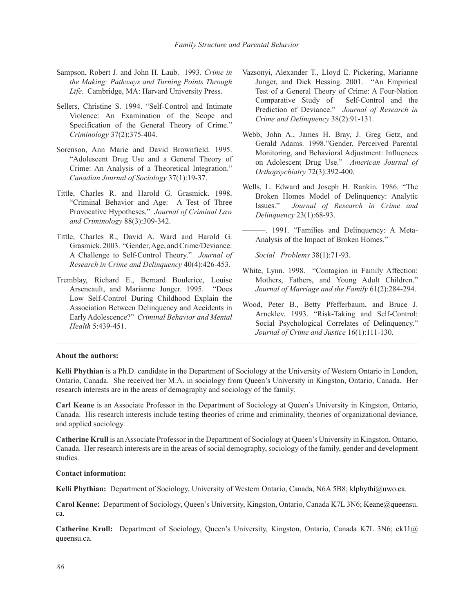- Sampson, Robert J. and John H. Laub. 1993. *Crime in the Making: Pathways and Turning Points Through Life.* Cambridge, MA: Harvard University Press.
- Sellers, Christine S. 1994. "Self-Control and Intimate Violence: An Examination of the Scope and Specification of the General Theory of Crime." *Criminology* 37(2):375-404.
- Sorenson, Ann Marie and David Brownfield. 1995. "Adolescent Drug Use and a General Theory of Crime: An Analysis of a Theoretical Integration." *Canadian Journal of Sociology* 37(1):19-37.
- Tittle, Charles R. and Harold G. Grasmick. 1998. "Criminal Behavior and Age: A Test of Three Provocative Hypotheses." *Journal of Criminal Law and Criminology* 88(3):309-342.
- Tittle, Charles R., David A. Ward and Harold G. Grasmick. 2003. "Gender, Age, and Crime/Deviance: A Challenge to Self-Control Theory." *Journal of Research in Crime and Delinquency* 40(4):426-453.
- Tremblay, Richard E., Bernard Boulerice, Louise Arseneault, and Marianne Junger. 1995. "Does Low Self-Control During Childhood Explain the Association Between Delinquency and Accidents in Early Adolescence?" *Criminal Behavior and Mental Health* 5:439-451.
- Vazsonyi, Alexander T., Lloyd E. Pickering, Marianne Junger, and Dick Hessing. 2001. "An Empirical Test of a General Theory of Crime: A Four-Nation Comparative Study of Self-Control and the Prediction of Deviance." *Journal of Research in Crime and Delinquency* 38(2):91-131.
- Webb, John A., James H. Bray, J. Greg Getz, and Gerald Adams. 1998."Gender, Perceived Parental Monitoring, and Behavioral Adjustment: Influences on Adolescent Drug Use." *American Journal of Orthopsychiatry* 72(3):392-400.
- Wells, L. Edward and Joseph H. Rankin. 1986. "The Broken Homes Model of Delinquency: Analytic Issues." *Journal of Research in Crime and Delinquency* 23(1):68-93.
- ———. 1991. "Families and Delinquency: A Meta-Analysis of the Impact of Broken Homes."

*Social Problems* 38(1):71-93.

- White, Lynn. 1998. "Contagion in Family Affection: Mothers, Fathers, and Young Adult Children." *Journal of Marriage and the Family* 61(2):284-294.
- Wood, Peter B., Betty Pfefferbaum, and Bruce J. Arneklev. 1993. "Risk-Taking and Self-Control: Social Psychological Correlates of Delinquency." *Journal of Crime and Justice* 16(1):111-130.

### **About the authors:**

**Kelli Phythian** is a Ph.D. candidate in the Department of Sociology at the University of Western Ontario in London, Ontario, Canada. She received her M.A. in sociology from Queen's University in Kingston, Ontario, Canada. Her research interests are in the areas of demography and sociology of the family.

**Carl Keane** is an Associate Professor in the Department of Sociology at Queen's University in Kingston, Ontario, Canada. His research interests include testing theories of crime and criminality, theories of organizational deviance, and applied sociology.

**Catherine Krull** is an Associate Professor in the Department of Sociology at Queen's University in Kingston, Ontario, Canada. Her research interests are in the areas of social demography, sociology of the family, gender and development studies.

## **Contact information:**

**Kelli Phythian:** Department of Sociology, University of Western Ontario, Canada, N6A 5B8; klphythi@uwo.ca.

**Carol Keane:** Department of Sociology, Queen's University, Kingston, Ontario, Canada K7L 3N6; Keane@queensu. ca.

**Catherine Krull:** Department of Sociology, Queen's University, Kingston, Ontario, Canada K7L 3N6; ck11@ queensu.ca.